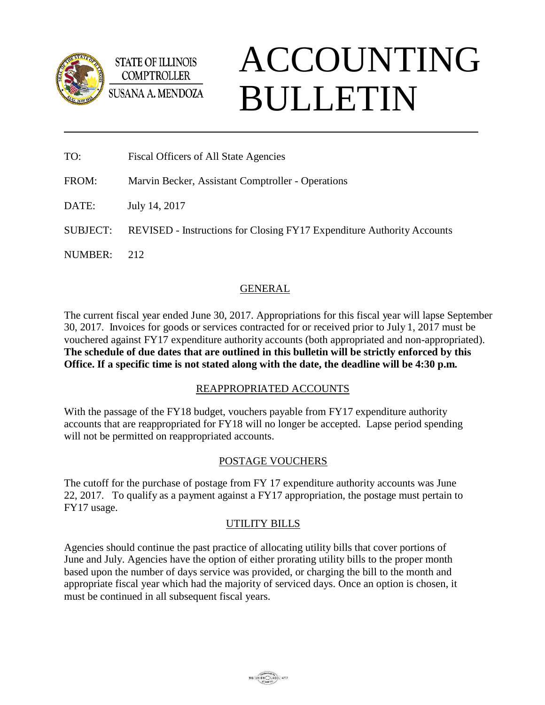

**STATE OF ILLINOIS COMPTROLLER** SUSANA A. MENDOZA

# ACCOUNTING BULLETIN

| TO:      | <b>Fiscal Officers of All State Agencies</b>                                  |
|----------|-------------------------------------------------------------------------------|
| FROM:    | Marvin Becker, Assistant Comptroller - Operations                             |
| DATE:    | July 14, 2017                                                                 |
| SUBJECT: | <b>REVISED</b> - Instructions for Closing FY17 Expenditure Authority Accounts |
| NUMBER:  | 212                                                                           |

# GENERAL

The current fiscal year ended June 30, 2017. Appropriations for this fiscal year will lapse September 30, 2017. Invoices for goods or services contracted for or received prior to July 1, 2017 must be vouchered against FY17 expenditure authority accounts (both appropriated and non-appropriated). **The schedule of due dates that are outlined in this bulletin will be strictly enforced by this Office. If a specific time is not stated along with the date, the deadline will be 4:30 p.m.**

## REAPPROPRIATED ACCOUNTS

With the passage of the FY18 budget, vouchers payable from FY17 expenditure authority accounts that are reappropriated for FY18 will no longer be accepted. Lapse period spending will not be permitted on reappropriated accounts.

# POSTAGE VOUCHERS

The cutoff for the purchase of postage from FY 17 expenditure authority accounts was June 22, 2017. To qualify as a payment against a FY17 appropriation, the postage must pertain to FY17 usage.

# UTILITY BILLS

Agencies should continue the past practice of allocating utility bills that cover portions of June and July. Agencies have the option of either prorating utility bills to the proper month based upon the number of days service was provided, or charging the bill to the month and appropriate fiscal year which had the majority of serviced days. Once an option is chosen, it must be continued in all subsequent fiscal years.

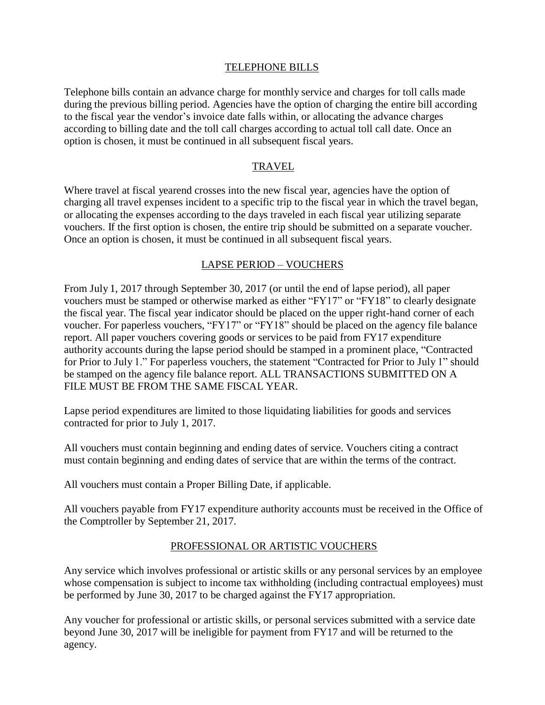#### TELEPHONE BILLS

Telephone bills contain an advance charge for monthly service and charges for toll calls made during the previous billing period. Agencies have the option of charging the entire bill according to the fiscal year the vendor's invoice date falls within, or allocating the advance charges according to billing date and the toll call charges according to actual toll call date. Once an option is chosen, it must be continued in all subsequent fiscal years.

#### TRAVEL

Where travel at fiscal yearend crosses into the new fiscal year, agencies have the option of charging all travel expenses incident to a specific trip to the fiscal year in which the travel began, or allocating the expenses according to the days traveled in each fiscal year utilizing separate vouchers. If the first option is chosen, the entire trip should be submitted on a separate voucher. Once an option is chosen, it must be continued in all subsequent fiscal years.

#### LAPSE PERIOD – VOUCHERS

From July 1, 2017 through September 30, 2017 (or until the end of lapse period), all paper vouchers must be stamped or otherwise marked as either "FY17" or "FY18" to clearly designate the fiscal year. The fiscal year indicator should be placed on the upper right-hand corner of each voucher. For paperless vouchers, "FY17" or "FY18" should be placed on the agency file balance report. All paper vouchers covering goods or services to be paid from FY17 expenditure authority accounts during the lapse period should be stamped in a prominent place, "Contracted for Prior to July 1." For paperless vouchers, the statement "Contracted for Prior to July 1" should be stamped on the agency file balance report. ALL TRANSACTIONS SUBMITTED ON A FILE MUST BE FROM THE SAME FISCAL YEAR.

Lapse period expenditures are limited to those liquidating liabilities for goods and services contracted for prior to July 1, 2017.

All vouchers must contain beginning and ending dates of service. Vouchers citing a contract must contain beginning and ending dates of service that are within the terms of the contract.

All vouchers must contain a Proper Billing Date, if applicable.

All vouchers payable from FY17 expenditure authority accounts must be received in the Office of the Comptroller by September 21, 2017.

#### PROFESSIONAL OR ARTISTIC VOUCHERS

Any service which involves professional or artistic skills or any personal services by an employee whose compensation is subject to income tax withholding (including contractual employees) must be performed by June 30, 2017 to be charged against the FY17 appropriation.

Any voucher for professional or artistic skills, or personal services submitted with a service date beyond June 30, 2017 will be ineligible for payment from FY17 and will be returned to the agency.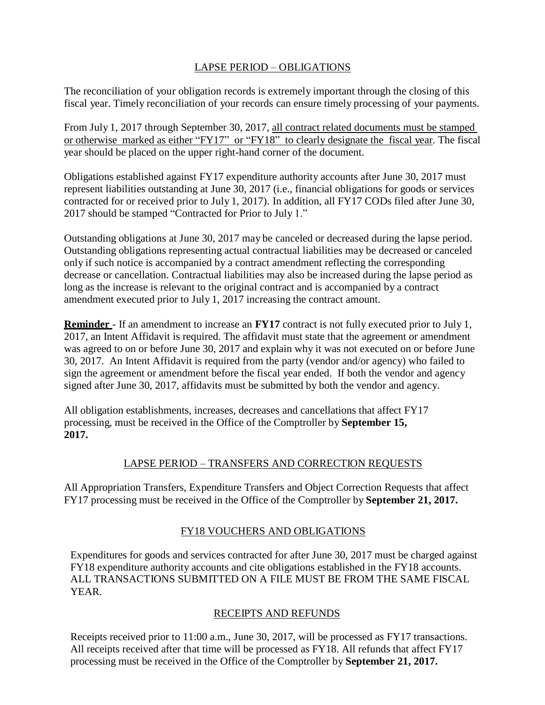## LAPSE PERIOD – OBLIGATIONS

The reconciliation of your obligation records is extremely important through the closing of this fiscal year. Timely reconciliation of your records can ensure timely processing of your payments.

From July 1, 2017 through September 30, 2017, all contract related documents must be stamped or otherwise marked as either "FY17" or "FY18" to clearly designate the fiscal year. The fiscal year should be placed on the upper right-hand corner of the document.

Obligations established against FY17 expenditure authority accounts after June 30, 2017 must represent liabilities outstanding at June 30, 2017 (i.e., financial obligations for goods or services contracted for or received prior to July 1, 2017). In addition, all FY17 CODs filed after June 30, 2017 should be stamped "Contracted for Prior to July 1."

Outstanding obligations at June 30, 2017 may be canceled or decreased during the lapse period. Outstanding obligations representing actual contractual liabilities may be decreased or canceled only if such notice is accompanied by a contract amendment reflecting the corresponding decrease or cancellation. Contractual liabilities may also be increased during the lapse period as long as the increase is relevant to the original contract and is accompanied by a contract amendment executed prior to July 1, 2017 increasing the contract amount.

**Reminder** - If an amendment to increase an **FY17** contract is not fully executed prior to July 1, 2017, an Intent Affidavit is required. The affidavit must state that the agreement or amendment was agreed to on or before June 30, 2017 and explain why it was not executed on or before June 30, 2017. An Intent Affidavit is required from the party (vendor and/or agency) who failed to sign the agreement or amendment before the fiscal year ended. If both the vendor and agency signed after June 30, 2017, affidavits must be submitted by both the vendor and agency.

All obligation establishments, increases, decreases and cancellations that affect FY17 processing, must be received in the Office of the Comptroller by **September 15, 2017.**

## LAPSE PERIOD – TRANSFERS AND CORRECTION REQUESTS

All Appropriation Transfers, Expenditure Transfers and Object Correction Requests that affect FY17 processing must be received in the Office of the Comptroller by **September 21, 2017.**

# FY18 VOUCHERS AND OBLIGATIONS

Expenditures for goods and services contracted for after June 30, 2017 must be charged against FY18 expenditure authority accounts and cite obligations established in the FY18 accounts. ALL TRANSACTIONS SUBMITTED ON A FILE MUST BE FROM THE SAME FISCAL YEAR.

## RECEIPTS AND REFUNDS

Receipts received prior to 11:00 a.m., June 30, 2017, will be processed as FY17 transactions. All receipts received after that time will be processed as FY18. All refunds that affect FY17 processing must be received in the Office of the Comptroller by **September 21, 2017.**